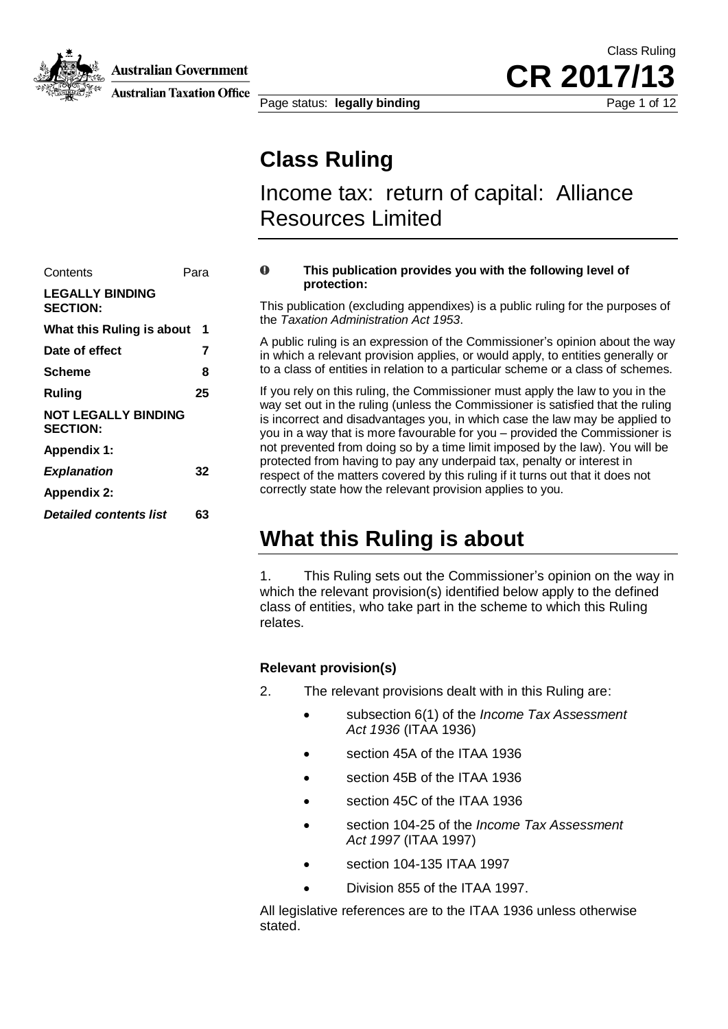

**Australian Government** 

**Australian Taxation Office** 

Page status: **legally binding** Page 1 of 12

**Class Ruling**

Income tax: return of capital: Alliance Resources Limited

Class Ruling

**CR 2017** 

| Contents                                      | Para |
|-----------------------------------------------|------|
| <b>LEGALLY BINDING</b><br><b>SECTION:</b>     |      |
| What this Ruling is about                     | 1    |
| Date of effect                                | 7    |
| Scheme                                        | 8    |
| Ruling                                        | 25   |
| <b>NOT LEGALLY BINDING</b><br><b>SECTION:</b> |      |
| <b>Appendix 1:</b>                            |      |
| <b>Explanation</b>                            | 32   |
| <b>Appendix 2:</b>                            |      |
| <b>Detailed contents list</b>                 | 63   |

#### $\mathbf 0$ **This publication provides you with the following level of protection:**

This publication (excluding appendixes) is a public ruling for the purposes of the *Taxation Administration Act 1953*.

A public ruling is an expression of the Commissioner's opinion about the way in which a relevant provision applies, or would apply, to entities generally or to a class of entities in relation to a particular scheme or a class of schemes.

If you rely on this ruling, the Commissioner must apply the law to you in the way set out in the ruling (unless the Commissioner is satisfied that the ruling is incorrect and disadvantages you, in which case the law may be applied to you in a way that is more favourable for you – provided the Commissioner is not prevented from doing so by a time limit imposed by the law). You will be protected from having to pay any underpaid tax, penalty or interest in respect of the matters covered by this ruling if it turns out that it does not correctly state how the relevant provision applies to you.

## **What this Ruling is about**

1. This Ruling sets out the Commissioner's opinion on the way in which the relevant provision(s) identified below apply to the defined class of entities, who take part in the scheme to which this Ruling relates.

#### **Relevant provision(s)**

- 2. The relevant provisions dealt with in this Ruling are:
	- subsection 6(1) of the *Income Tax Assessment Act 1936* (ITAA 1936)
	- section 45A of the ITAA 1936
	- section 45B of the ITAA 1936
	- section 45C of the ITAA 1936
	- section 104-25 of the *Income Tax Assessment Act 1997* (ITAA 1997)
	- section 104-135 ITAA 1997
	- Division 855 of the ITAA 1997.

All legislative references are to the ITAA 1936 unless otherwise stated.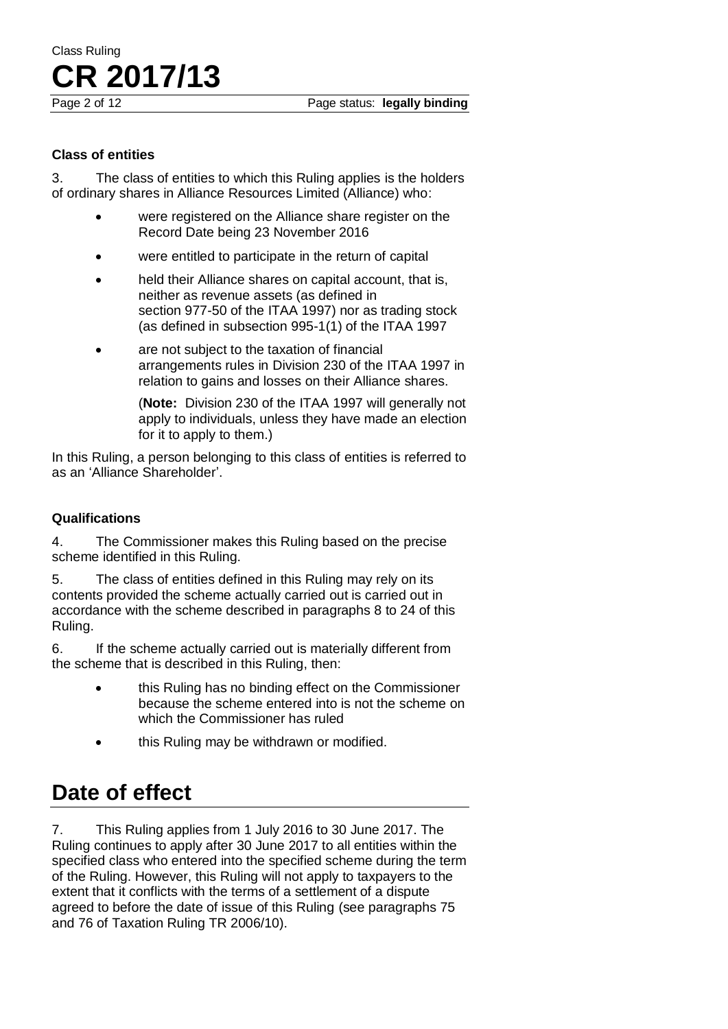#### **Class of entities**

3. The class of entities to which this Ruling applies is the holders of ordinary shares in Alliance Resources Limited (Alliance) who:

- were registered on the Alliance share register on the Record Date being 23 November 2016
- were entitled to participate in the return of capital
- held their Alliance shares on capital account, that is, neither as revenue assets (as defined in section 977-50 of the ITAA 1997) nor as trading stock (as defined in subsection 995-1(1) of the ITAA 1997
- are not subject to the taxation of financial arrangements rules in Division 230 of the ITAA 1997 in relation to gains and losses on their Alliance shares.

(**Note:** Division 230 of the ITAA 1997 will generally not apply to individuals, unless they have made an election for it to apply to them.)

In this Ruling, a person belonging to this class of entities is referred to as an 'Alliance Shareholder'.

#### **Qualifications**

4. The Commissioner makes this Ruling based on the precise scheme identified in this Ruling.

5. The class of entities defined in this Ruling may rely on its contents provided the scheme actually carried out is carried out in accordance with the scheme described in paragraphs 8 to 24 of this Ruling.

6. If the scheme actually carried out is materially different from the scheme that is described in this Ruling, then:

- **•** this Ruling has no binding effect on the Commissioner because the scheme entered into is not the scheme on which the Commissioner has ruled
- this Ruling may be withdrawn or modified.

## **Date of effect**

7. This Ruling applies from 1 July 2016 to 30 June 2017. The Ruling continues to apply after 30 June 2017 to all entities within the specified class who entered into the specified scheme during the term of the Ruling. However, this Ruling will not apply to taxpayers to the extent that it conflicts with the terms of a settlement of a dispute agreed to before the date of issue of this Ruling (see paragraphs 75 and 76 of Taxation Ruling TR 2006/10).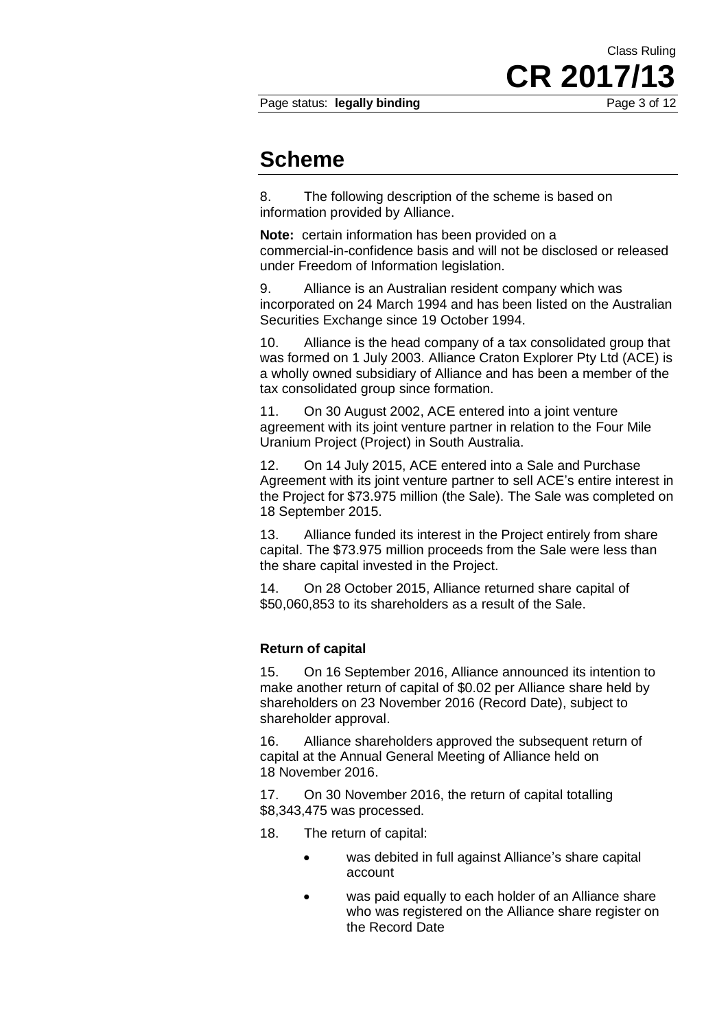### Class Ruling **CR 2017/13** Page status: **legally binding** Page 3 of 12

### **Scheme**

8. The following description of the scheme is based on information provided by Alliance.

**Note:** certain information has been provided on a commercial-in-confidence basis and will not be disclosed or released under Freedom of Information legislation.

9. Alliance is an Australian resident company which was incorporated on 24 March 1994 and has been listed on the Australian Securities Exchange since 19 October 1994.

10. Alliance is the head company of a tax consolidated group that was formed on 1 July 2003. Alliance Craton Explorer Pty Ltd (ACE) is a wholly owned subsidiary of Alliance and has been a member of the tax consolidated group since formation.

11. On 30 August 2002, ACE entered into a joint venture agreement with its joint venture partner in relation to the Four Mile Uranium Project (Project) in South Australia.

12. On 14 July 2015, ACE entered into a Sale and Purchase Agreement with its joint venture partner to sell ACE's entire interest in the Project for \$73.975 million (the Sale). The Sale was completed on 18 September 2015.

13. Alliance funded its interest in the Project entirely from share capital. The \$73.975 million proceeds from the Sale were less than the share capital invested in the Project.

14. On 28 October 2015, Alliance returned share capital of \$50,060,853 to its shareholders as a result of the Sale.

#### **Return of capital**

15. On 16 September 2016, Alliance announced its intention to make another return of capital of \$0.02 per Alliance share held by shareholders on 23 November 2016 (Record Date), subject to shareholder approval.

16. Alliance shareholders approved the subsequent return of capital at the Annual General Meeting of Alliance held on 18 November 2016.

17. On 30 November 2016, the return of capital totalling \$8,343,475 was processed.

- 18. The return of capital:
	- was debited in full against Alliance's share capital account
	- was paid equally to each holder of an Alliance share who was registered on the Alliance share register on the Record Date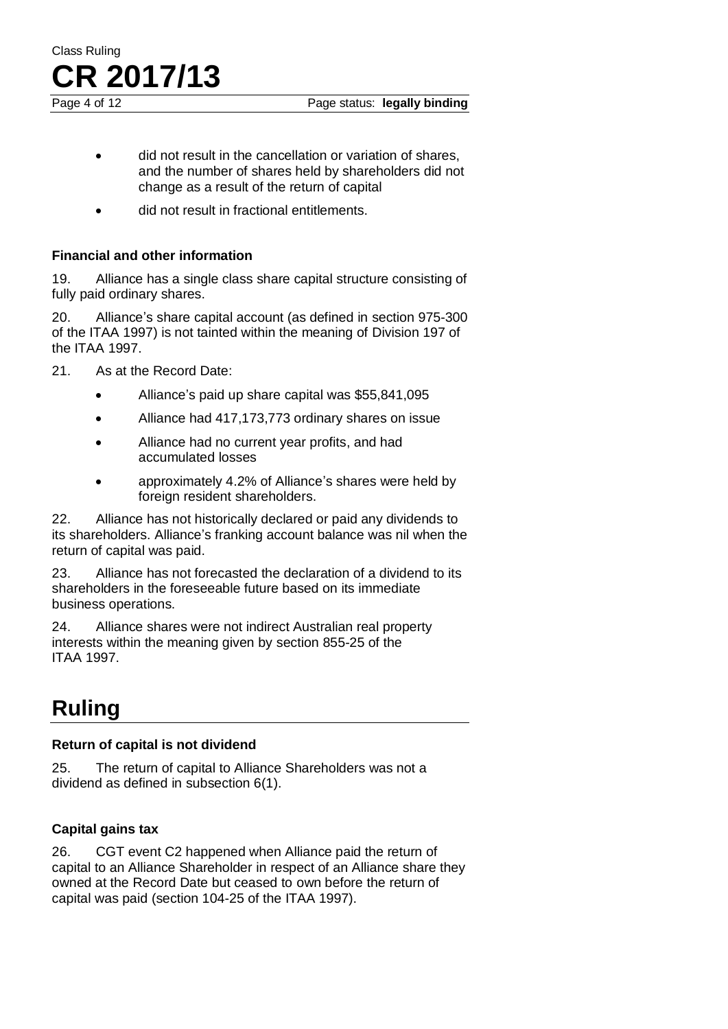

- did not result in the cancellation or variation of shares, and the number of shares held by shareholders did not change as a result of the return of capital
- did not result in fractional entitlements.

#### **Financial and other information**

19. Alliance has a single class share capital structure consisting of fully paid ordinary shares.

20. Alliance's share capital account (as defined in section 975-300 of the ITAA 1997) is not tainted within the meaning of Division 197 of the ITAA 1997.

- 21. As at the Record Date:
	- Alliance's paid up share capital was \$55,841,095
	- Alliance had 417,173,773 ordinary shares on issue
	- Alliance had no current year profits, and had accumulated losses
	- approximately 4.2% of Alliance's shares were held by foreign resident shareholders.

22. Alliance has not historically declared or paid any dividends to its shareholders. Alliance's franking account balance was nil when the return of capital was paid.

23. Alliance has not forecasted the declaration of a dividend to its shareholders in the foreseeable future based on its immediate business operations.

24. Alliance shares were not indirect Australian real property interests within the meaning given by section 855-25 of the ITAA 1997.

## **Ruling**

#### **Return of capital is not dividend**

25. The return of capital to Alliance Shareholders was not a dividend as defined in subsection 6(1).

### **Capital gains tax**

26. CGT event C2 happened when Alliance paid the return of capital to an Alliance Shareholder in respect of an Alliance share they owned at the Record Date but ceased to own before the return of capital was paid (section 104-25 of the ITAA 1997).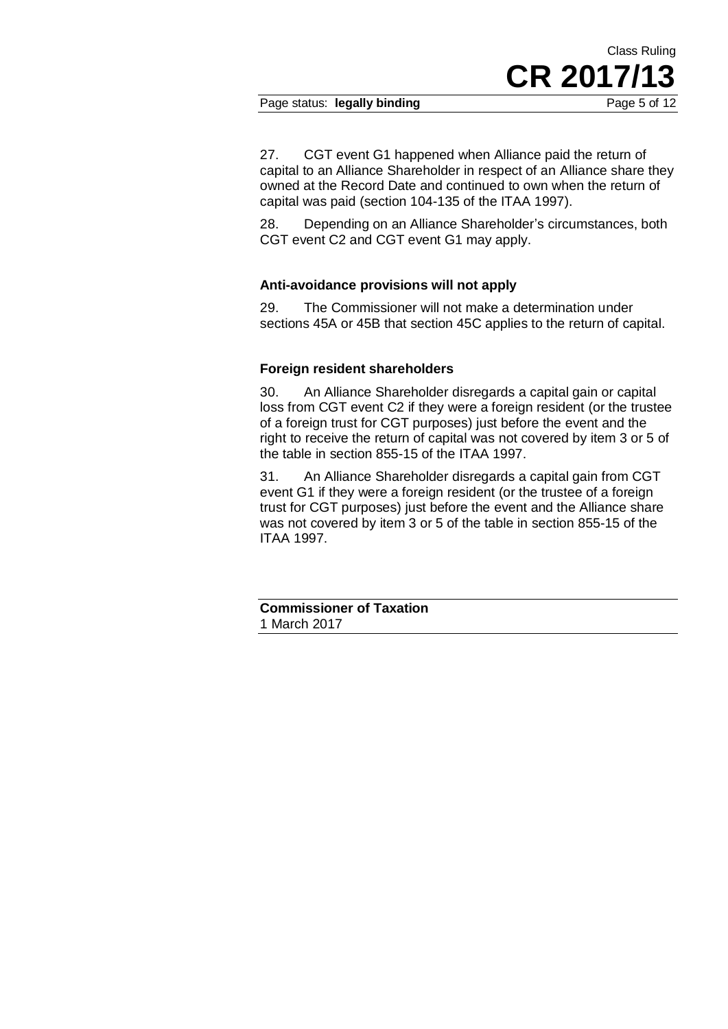#### Page status: **legally binding** Page 5 of 12

27. CGT event G1 happened when Alliance paid the return of capital to an Alliance Shareholder in respect of an Alliance share they owned at the Record Date and continued to own when the return of capital was paid (section 104-135 of the ITAA 1997).

28. Depending on an Alliance Shareholder's circumstances, both CGT event C2 and CGT event G1 may apply.

#### **Anti-avoidance provisions will not apply**

29. The Commissioner will not make a determination under sections 45A or 45B that section 45C applies to the return of capital.

#### **Foreign resident shareholders**

30. An Alliance Shareholder disregards a capital gain or capital loss from CGT event C2 if they were a foreign resident (or the trustee of a foreign trust for CGT purposes) just before the event and the right to receive the return of capital was not covered by item 3 or 5 of the table in section 855-15 of the ITAA 1997.

31. An Alliance Shareholder disregards a capital gain from CGT event G1 if they were a foreign resident (or the trustee of a foreign trust for CGT purposes) just before the event and the Alliance share was not covered by item 3 or 5 of the table in section 855-15 of the ITAA 1997.

**Commissioner of Taxation** 1 March 2017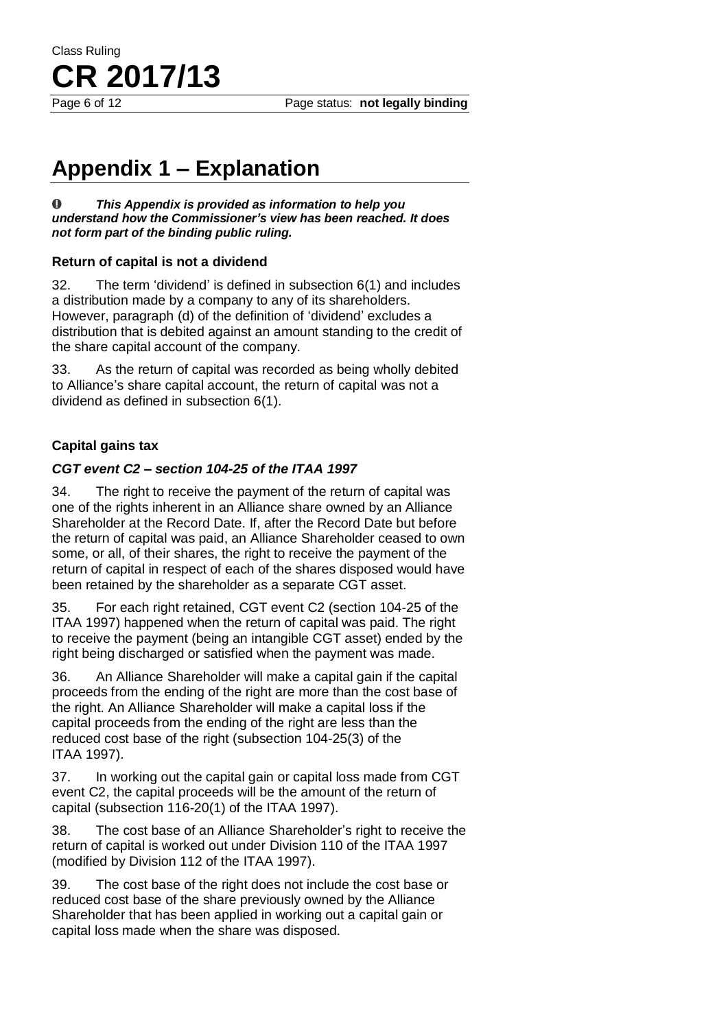Page 6 of 12 Page status: **not legally binding**

## **Appendix 1 – Explanation**

*This Appendix is provided as information to help you*   $\bullet$ *understand how the Commissioner's view has been reached. It does not form part of the binding public ruling.*

#### **Return of capital is not a dividend**

32. The term 'dividend' is defined in subsection 6(1) and includes a distribution made by a company to any of its shareholders. However, paragraph (d) of the definition of 'dividend' excludes a distribution that is debited against an amount standing to the credit of the share capital account of the company.

33. As the return of capital was recorded as being wholly debited to Alliance's share capital account, the return of capital was not a dividend as defined in subsection 6(1).

### **Capital gains tax**

#### *CGT event C2 – section 104-25 of the ITAA 1997*

34. The right to receive the payment of the return of capital was one of the rights inherent in an Alliance share owned by an Alliance Shareholder at the Record Date. If, after the Record Date but before the return of capital was paid, an Alliance Shareholder ceased to own some, or all, of their shares, the right to receive the payment of the return of capital in respect of each of the shares disposed would have been retained by the shareholder as a separate CGT asset.

35. For each right retained, CGT event C2 (section 104-25 of the ITAA 1997) happened when the return of capital was paid. The right to receive the payment (being an intangible CGT asset) ended by the right being discharged or satisfied when the payment was made.

36. An Alliance Shareholder will make a capital gain if the capital proceeds from the ending of the right are more than the cost base of the right. An Alliance Shareholder will make a capital loss if the capital proceeds from the ending of the right are less than the reduced cost base of the right (subsection 104-25(3) of the ITAA 1997).

37. In working out the capital gain or capital loss made from CGT event C2, the capital proceeds will be the amount of the return of capital (subsection 116-20(1) of the ITAA 1997).

38. The cost base of an Alliance Shareholder's right to receive the return of capital is worked out under Division 110 of the ITAA 1997 (modified by Division 112 of the ITAA 1997).

39. The cost base of the right does not include the cost base or reduced cost base of the share previously owned by the Alliance Shareholder that has been applied in working out a capital gain or capital loss made when the share was disposed.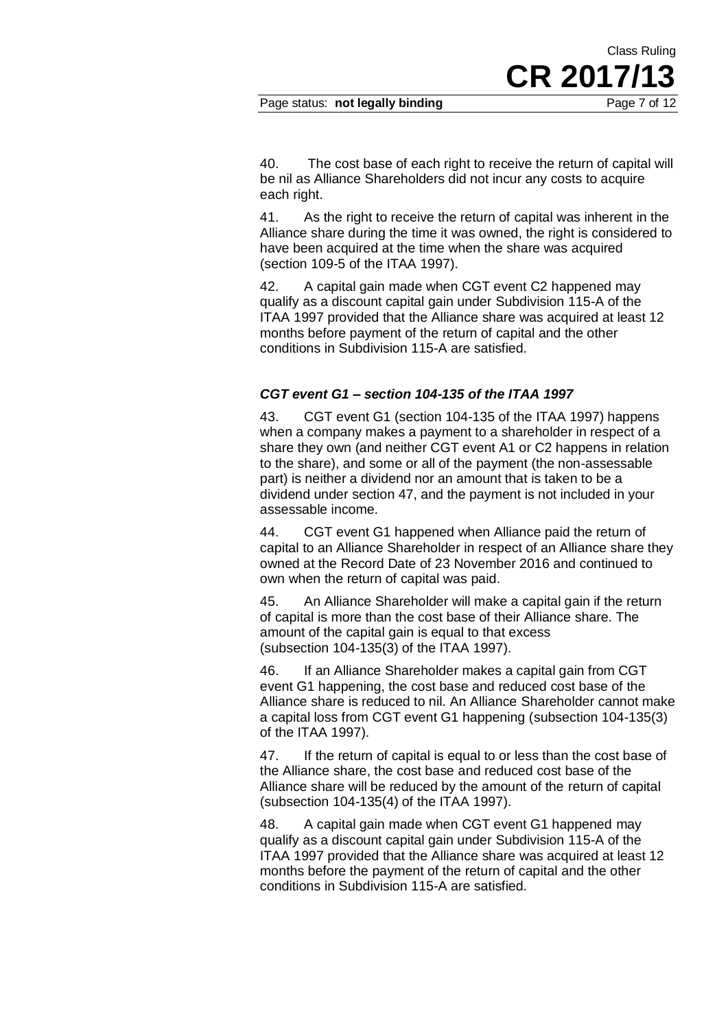Class Ruling

40. The cost base of each right to receive the return of capital will be nil as Alliance Shareholders did not incur any costs to acquire each right.

41. As the right to receive the return of capital was inherent in the Alliance share during the time it was owned, the right is considered to have been acquired at the time when the share was acquired (section 109-5 of the ITAA 1997).

42. A capital gain made when CGT event C2 happened may qualify as a discount capital gain under Subdivision 115-A of the ITAA 1997 provided that the Alliance share was acquired at least 12 months before payment of the return of capital and the other conditions in Subdivision 115-A are satisfied.

#### *CGT event G1 – section 104-135 of the ITAA 1997*

43. CGT event G1 (section 104-135 of the ITAA 1997) happens when a company makes a payment to a shareholder in respect of a share they own (and neither CGT event A1 or C2 happens in relation to the share), and some or all of the payment (the non-assessable part) is neither a dividend nor an amount that is taken to be a dividend under section 47, and the payment is not included in your assessable income.

44. CGT event G1 happened when Alliance paid the return of capital to an Alliance Shareholder in respect of an Alliance share they owned at the Record Date of 23 November 2016 and continued to own when the return of capital was paid.

45. An Alliance Shareholder will make a capital gain if the return of capital is more than the cost base of their Alliance share. The amount of the capital gain is equal to that excess (subsection 104-135(3) of the ITAA 1997).

46. If an Alliance Shareholder makes a capital gain from CGT event G1 happening, the cost base and reduced cost base of the Alliance share is reduced to nil. An Alliance Shareholder cannot make a capital loss from CGT event G1 happening (subsection 104-135(3) of the ITAA 1997).

47. If the return of capital is equal to or less than the cost base of the Alliance share, the cost base and reduced cost base of the Alliance share will be reduced by the amount of the return of capital (subsection 104-135(4) of the ITAA 1997).

48. A capital gain made when CGT event G1 happened may qualify as a discount capital gain under Subdivision 115-A of the ITAA 1997 provided that the Alliance share was acquired at least 12 months before the payment of the return of capital and the other conditions in Subdivision 115-A are satisfied.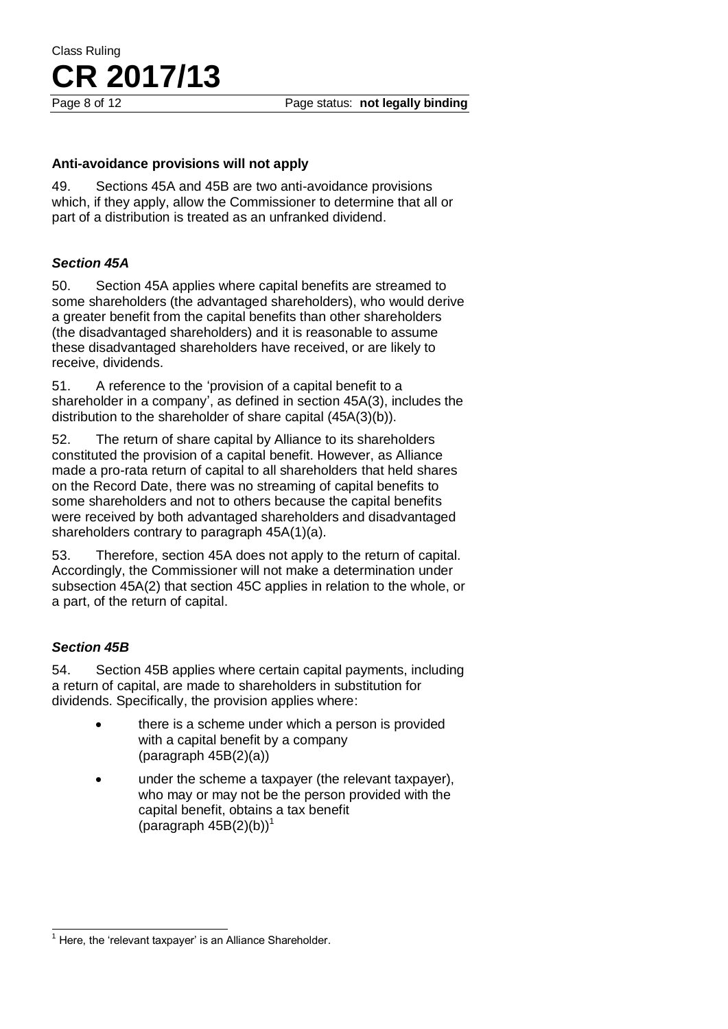#### **Anti-avoidance provisions will not apply**

49. Sections 45A and 45B are two anti-avoidance provisions which, if they apply, allow the Commissioner to determine that all or part of a distribution is treated as an unfranked dividend.

#### *Section 45A*

50. Section 45A applies where capital benefits are streamed to some shareholders (the advantaged shareholders), who would derive a greater benefit from the capital benefits than other shareholders (the disadvantaged shareholders) and it is reasonable to assume these disadvantaged shareholders have received, or are likely to receive, dividends.

51. A reference to the 'provision of a capital benefit to a shareholder in a company', as defined in section 45A(3), includes the distribution to the shareholder of share capital (45A(3)(b)).

52. The return of share capital by Alliance to its shareholders constituted the provision of a capital benefit. However, as Alliance made a pro-rata return of capital to all shareholders that held shares on the Record Date, there was no streaming of capital benefits to some shareholders and not to others because the capital benefits were received by both advantaged shareholders and disadvantaged shareholders contrary to paragraph 45A(1)(a).

53. Therefore, section 45A does not apply to the return of capital. Accordingly, the Commissioner will not make a determination under subsection 45A(2) that section 45C applies in relation to the whole, or a part, of the return of capital.

### *Section 45B*

54. Section 45B applies where certain capital payments, including a return of capital, are made to shareholders in substitution for dividends. Specifically, the provision applies where:

- there is a scheme under which a person is provided with a capital benefit by a company (paragraph 45B(2)(a))
- under the scheme a taxpayer (the relevant taxpayer), who may or may not be the person provided with the capital benefit, obtains a tax benefit (paragraph  $45B(2)(b)$ <sup>1</sup>

j  $1$  Here, the 'relevant taxpayer' is an Alliance Shareholder.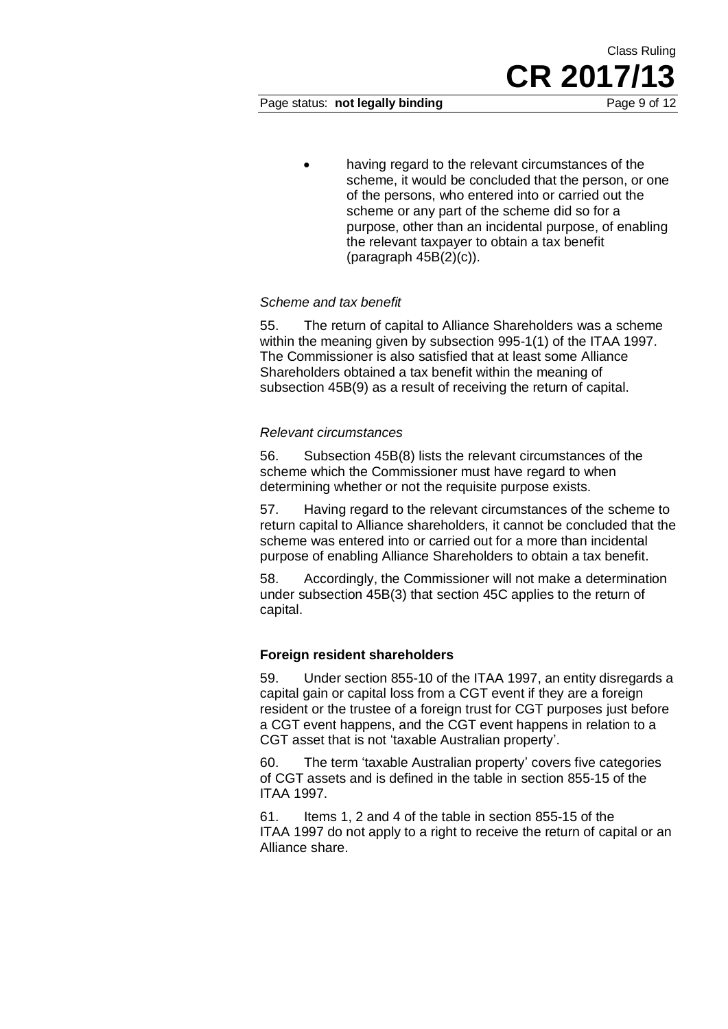having regard to the relevant circumstances of the scheme, it would be concluded that the person, or one of the persons, who entered into or carried out the scheme or any part of the scheme did so for a purpose, other than an incidental purpose, of enabling the relevant taxpayer to obtain a tax benefit (paragraph 45B(2)(c)).

#### *Scheme and tax benefit*

55. The return of capital to Alliance Shareholders was a scheme within the meaning given by subsection 995-1(1) of the ITAA 1997. The Commissioner is also satisfied that at least some Alliance Shareholders obtained a tax benefit within the meaning of subsection 45B(9) as a result of receiving the return of capital.

#### *Relevant circumstances*

56. Subsection 45B(8) lists the relevant circumstances of the scheme which the Commissioner must have regard to when determining whether or not the requisite purpose exists.

57. Having regard to the relevant circumstances of the scheme to return capital to Alliance shareholders, it cannot be concluded that the scheme was entered into or carried out for a more than incidental purpose of enabling Alliance Shareholders to obtain a tax benefit.

58. Accordingly, the Commissioner will not make a determination under subsection 45B(3) that section 45C applies to the return of capital.

#### **Foreign resident shareholders**

59. Under section 855-10 of the ITAA 1997, an entity disregards a capital gain or capital loss from a CGT event if they are a foreign resident or the trustee of a foreign trust for CGT purposes just before a CGT event happens, and the CGT event happens in relation to a CGT asset that is not 'taxable Australian property'.

60. The term 'taxable Australian property' covers five categories of CGT assets and is defined in the table in section 855-15 of the ITAA 1997.

61. Items 1, 2 and 4 of the table in section 855-15 of the ITAA 1997 do not apply to a right to receive the return of capital or an Alliance share.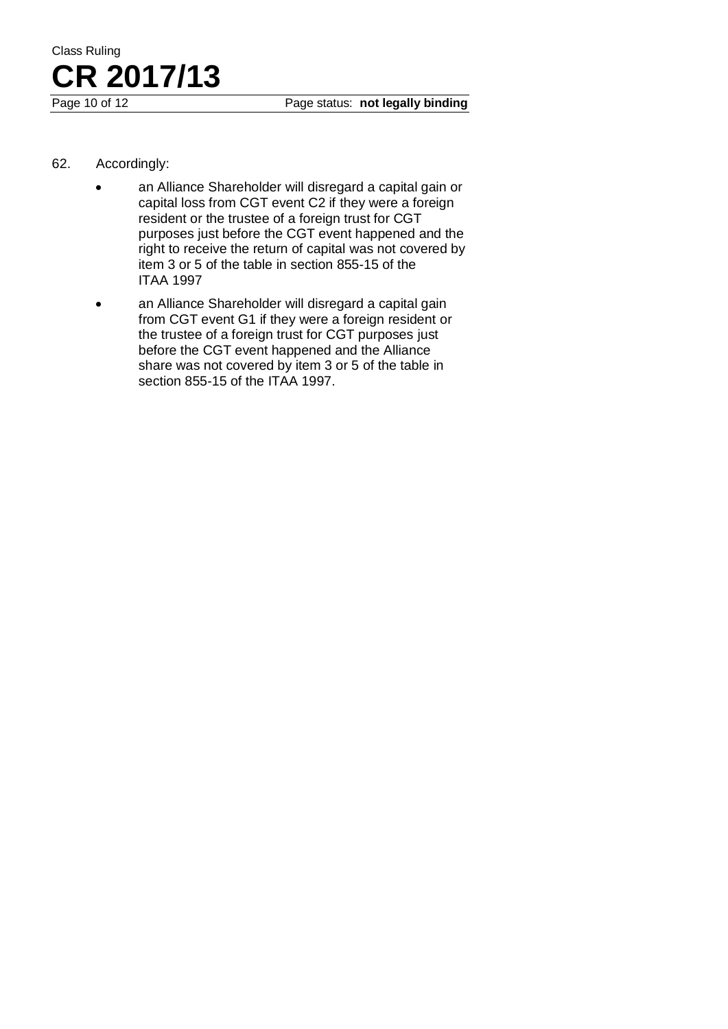- 62. Accordingly:
	- an Alliance Shareholder will disregard a capital gain or capital loss from CGT event C2 if they were a foreign resident or the trustee of a foreign trust for CGT purposes just before the CGT event happened and the right to receive the return of capital was not covered by item 3 or 5 of the table in section 855-15 of the ITAA 1997
	- an Alliance Shareholder will disregard a capital gain from CGT event G1 if they were a foreign resident or the trustee of a foreign trust for CGT purposes just before the CGT event happened and the Alliance share was not covered by item 3 or 5 of the table in section 855-15 of the ITAA 1997.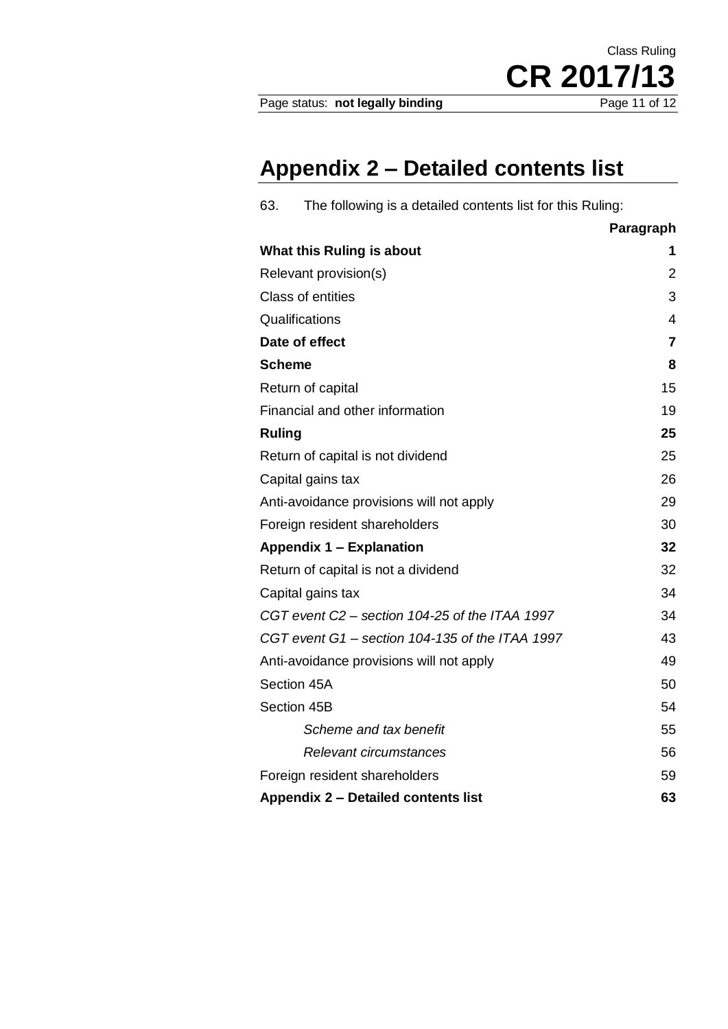# **Appendix 2 – Detailed contents list**

| The following is a detailed contents list for this Ruling:<br>63. |                |
|-------------------------------------------------------------------|----------------|
|                                                                   | Paragraph      |
| What this Ruling is about                                         | 1              |
| Relevant provision(s)                                             | $\overline{2}$ |
| <b>Class of entities</b>                                          | 3              |
| Qualifications                                                    | 4              |
| Date of effect                                                    | $\overline{7}$ |
| <b>Scheme</b>                                                     | 8              |
| Return of capital                                                 | 15             |
| Financial and other information                                   | 19             |
| <b>Ruling</b>                                                     | 25             |
| Return of capital is not dividend                                 | 25             |
| Capital gains tax                                                 | 26             |
| Anti-avoidance provisions will not apply                          | 29             |
| Foreign resident shareholders                                     | 30             |
| <b>Appendix 1 - Explanation</b>                                   | 32             |
| Return of capital is not a dividend                               | 32             |
| Capital gains tax                                                 | 34             |
| CGT event C2 - section 104-25 of the ITAA 1997                    | 34             |
| CGT event G1 - section 104-135 of the ITAA 1997                   | 43             |
| Anti-avoidance provisions will not apply                          | 49             |
| Section 45A                                                       | 50             |
| Section 45B                                                       | 54             |
| Scheme and tax benefit                                            | 55             |
| Relevant circumstances                                            | 56             |
| Foreign resident shareholders                                     | 59             |
| Appendix 2 - Detailed contents list                               | 63             |